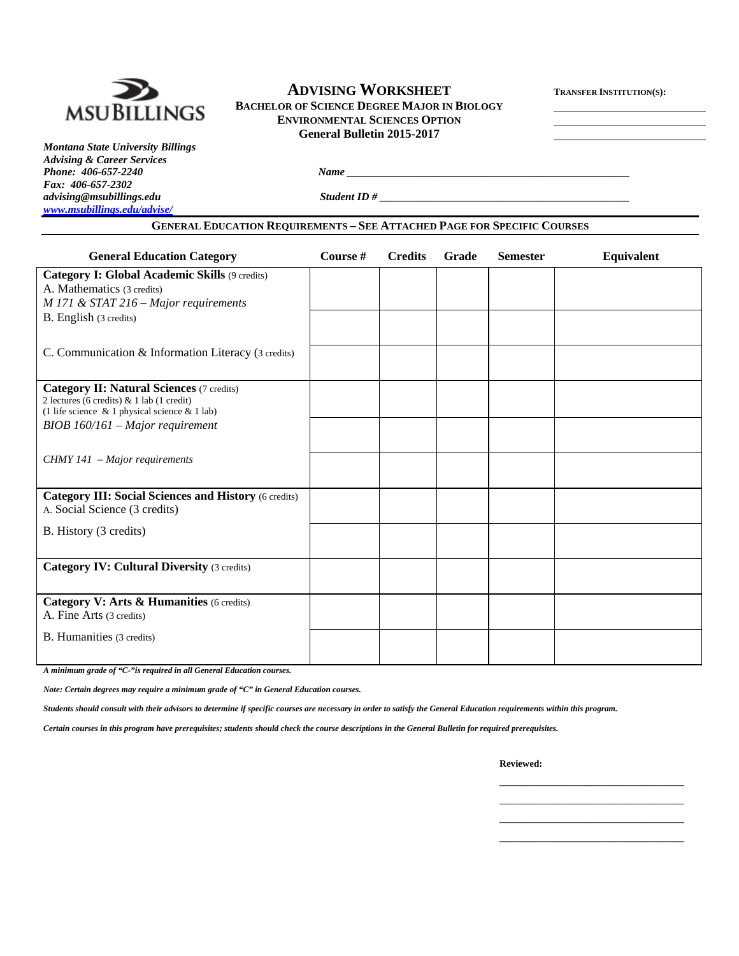

# **ADVISING WORKSHEET TRANSFER INSTITUTION(S):**

**MSUBILLINGS** BACHELOR OF SCIENCE DEGREE MAJOR IN BIOLOGY **ENVIRONMENTAL SCIENCES OPTION General Bulletin 2015-2017** 

*Montana State University Billings Advising & Career Services Fax: 406-657-2302 advising@msubillings.edu* Student ID # *www.msubillings.edu/advise/*

*Phone: 406-657-2240 Name*  $\frac{1}{2}$  *Name*  $\frac{1}{2}$  *Name*  $\frac{1}{2}$  *Name*  $\frac{1}{2}$  *Name*  $\frac{1}{2}$  *Name*  $\frac{1}{2}$  *Name*  $\frac{1}{2}$  *Name*  $\frac{1}{2}$  *Name*  $\frac{1}{2}$  *Name*  $\frac{1}{2}$  *Name*  $\frac{1}{2}$  *Name*  $\frac{1}{2}$ 

## **GENERAL EDUCATION REQUIREMENTS – SEE ATTACHED PAGE FOR SPECIFIC COURSES**

| <b>General Education Category</b>                                                                                                                      | Course # | <b>Credits</b> | Grade | <b>Semester</b> | Equivalent |
|--------------------------------------------------------------------------------------------------------------------------------------------------------|----------|----------------|-------|-----------------|------------|
| Category I: Global Academic Skills (9 credits)<br>A. Mathematics (3 credits)<br>$M$ 171 & STAT 216 – Major requirements                                |          |                |       |                 |            |
| B. English (3 credits)                                                                                                                                 |          |                |       |                 |            |
| C. Communication & Information Literacy (3 credits)                                                                                                    |          |                |       |                 |            |
| <b>Category II: Natural Sciences (7 credits)</b><br>2 lectures (6 credits) $& 1$ lab (1 credit)<br>(1 life science $\&$ 1 physical science $\&$ 1 lab) |          |                |       |                 |            |
| BIOB 160/161 - Major requirement                                                                                                                       |          |                |       |                 |            |
| $CHMY$ 141 – Major requirements                                                                                                                        |          |                |       |                 |            |
| <b>Category III: Social Sciences and History (6 credits)</b><br>A. Social Science (3 credits)                                                          |          |                |       |                 |            |
| B. History (3 credits)                                                                                                                                 |          |                |       |                 |            |
| <b>Category IV: Cultural Diversity (3 credits)</b>                                                                                                     |          |                |       |                 |            |
| Category V: Arts & Humanities (6 credits)<br>A. Fine Arts (3 credits)                                                                                  |          |                |       |                 |            |
| B. Humanities (3 credits)                                                                                                                              |          |                |       |                 |            |

*A minimum grade of "C-"is required in all General Education courses.* 

*Note: Certain degrees may require a minimum grade of "C" in General Education courses.* 

*Students should consult with their advisors to determine if specific courses are necessary in order to satisfy the General Education requirements within this program.* 

 $\mathcal{L}_\text{max}$  , and the contract of the contract of the contract of the contract of the contract of the contract of the contract of the contract of the contract of the contract of the contract of the contract of the contr  $\mathcal{L}_\text{max}$  , and the contract of the contract of the contract of the contract of the contract of the contract of the contract of the contract of the contract of the contract of the contract of the contract of the contr  $\mathcal{L}_\text{max}$  , and the contract of the contract of the contract of the contract of the contract of the contract of the contract of the contract of the contract of the contract of the contract of the contract of the contr  $\mathcal{L}_\text{max}$  , and the contract of the contract of the contract of the contract of the contract of the contract of the contract of the contract of the contract of the contract of the contract of the contract of the contr

*Certain courses in this program have prerequisites; students should check the course descriptions in the General Bulletin for required prerequisites.* 

**Reviewed:**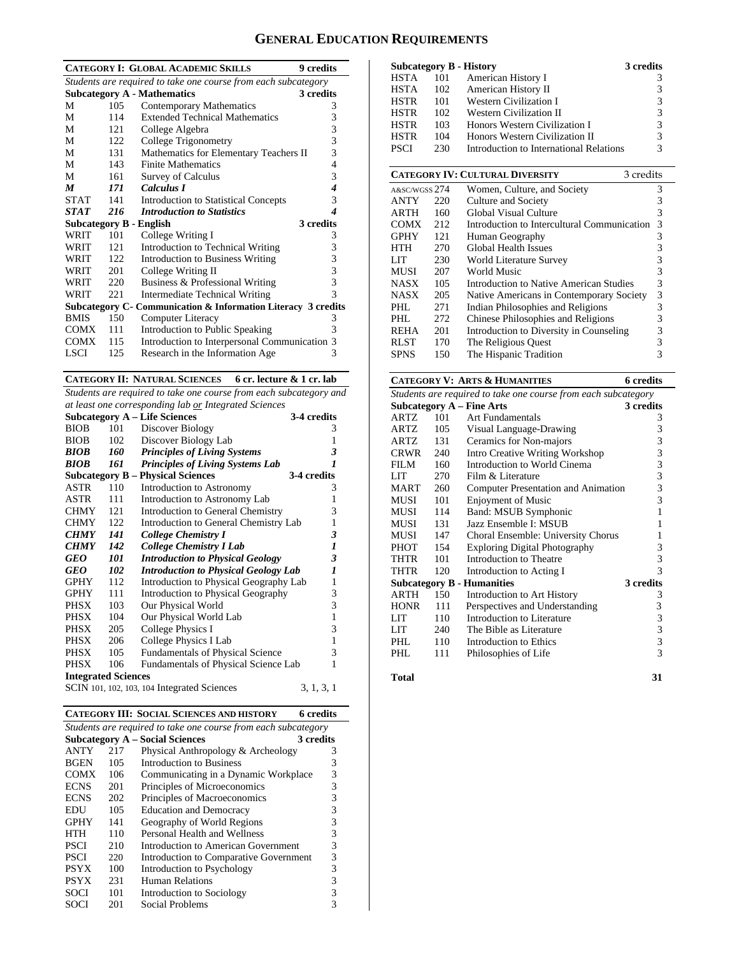# **GENERAL EDUCATION REQUIREMENTS**

| <b>CATEGORY I: GLOBAL ACADEMIC SKILLS</b><br>9 credits         |      |                                                               |   |  |  |  |
|----------------------------------------------------------------|------|---------------------------------------------------------------|---|--|--|--|
| Students are required to take one course from each subcategory |      |                                                               |   |  |  |  |
|                                                                |      | <b>Subcategory A - Mathematics</b><br>3 credits               |   |  |  |  |
| М                                                              | 105  | <b>Contemporary Mathematics</b>                               | 3 |  |  |  |
| М                                                              | 114  | <b>Extended Technical Mathematics</b>                         | 3 |  |  |  |
| М                                                              | 121  | College Algebra                                               | 3 |  |  |  |
| М                                                              | 122  | College Trigonometry                                          | 3 |  |  |  |
| М                                                              | 131  | Mathematics for Elementary Teachers II                        | 3 |  |  |  |
| M                                                              | 143  | <b>Finite Mathematics</b>                                     | 4 |  |  |  |
| M                                                              | 161  | <b>Survey of Calculus</b>                                     | 3 |  |  |  |
| $\boldsymbol{M}$                                               | 171  | Calculus I                                                    | 4 |  |  |  |
| <b>STAT</b>                                                    | 141  | <b>Introduction to Statistical Concepts</b>                   | 3 |  |  |  |
| <b>STAT</b>                                                    | 216  | <b>Introduction to Statistics</b>                             | 4 |  |  |  |
| <b>Subcategory B - English</b>                                 |      | 3 credits                                                     |   |  |  |  |
| WRIT                                                           | 101  | College Writing I                                             | 3 |  |  |  |
| WRIT                                                           | 121  | Introduction to Technical Writing                             | 3 |  |  |  |
| WRIT                                                           | 122. | <b>Introduction to Business Writing</b>                       | 3 |  |  |  |
| WRIT                                                           | 201  | College Writing II                                            | 3 |  |  |  |
| WRIT                                                           | 220  | Business & Professional Writing                               | 3 |  |  |  |
| WRIT                                                           | 221  | <b>Intermediate Technical Writing</b>                         | 3 |  |  |  |
|                                                                |      | Subcategory C- Communication & Information Literacy 3 credits |   |  |  |  |
| <b>BMIS</b>                                                    | 150  | Computer Literacy                                             | 3 |  |  |  |
| <b>COMX</b>                                                    | 111  | Introduction to Public Speaking                               | 3 |  |  |  |
| <b>COMX</b>                                                    | 115  | Introduction to Interpersonal Communication 3                 |   |  |  |  |
| LSCI                                                           | 125  | Research in the Information Age                               | 3 |  |  |  |

**CATEGORY II: NATURAL SCIENCES 6 cr. lecture & 1 cr. lab** 

*Students are required to take one course from each subcategory and at least one corresponding lab or Integrated Sciences* 

|                            |     | <b>Subcategory A - Life Sciences</b>        | 3-4 credits      |
|----------------------------|-----|---------------------------------------------|------------------|
| <b>BIOB</b>                | 101 | Discover Biology                            | 3                |
| <b>BIOB</b>                | 102 | Discover Biology Lab                        | 1                |
| <b>BIOB</b>                | 160 | <b>Principles of Living Systems</b>         | 3                |
| BIOB                       | 161 | <b>Principles of Living Systems Lab</b>     | 1                |
|                            |     | <b>Subcategory B – Physical Sciences</b>    | 3-4 credits      |
|                            |     |                                             |                  |
| ASTR                       | 110 | Introduction to Astronomy                   | 3                |
| ASTR                       | 111 | Introduction to Astronomy Lab               | 1                |
| <b>CHMY</b>                | 121 | Introduction to General Chemistry           | 3                |
| <b>CHMY</b>                | 122 | Introduction to General Chemistry Lab       | 1                |
| <b>CHMY</b>                | 141 | College Chemistry I                         | 3                |
| <b>CHMY</b>                | 142 | <b>College Chemistry I Lab</b>              | 1                |
| GEO                        | 101 | <b>Introduction to Physical Geology</b>     | 3                |
| GEO                        | 102 | <b>Introduction to Physical Geology Lab</b> | $\boldsymbol{l}$ |
| <b>GPHY</b>                | 112 | Introduction to Physical Geography Lab      | $\mathbf{1}$     |
| <b>GPHY</b>                | 111 | Introduction to Physical Geography          | 3                |
| PHSX                       | 103 | Our Physical World                          | 3                |
| PHSX                       | 104 | Our Physical World Lab                      | $\mathbf{1}$     |
| PHSX                       | 205 | College Physics I                           | 3                |
| <b>PHSX</b>                | 206 | College Physics I Lab                       | $\mathbf{1}$     |
| PHSX                       | 105 | <b>Fundamentals of Physical Science</b>     | 3                |
| <b>PHSX</b>                | 106 | Fundamentals of Physical Science Lab        | 1                |
| <b>Integrated Sciences</b> |     |                                             |                  |
|                            |     | SCIN 101, 102, 103, 104 Integrated Sciences | 3, 1, 3, 1       |

| <b>CATEGORY III: SOCIAL SCIENCES AND HISTORY</b><br><b>6</b> credits |                                                                |                                        |   |  |  |  |  |  |
|----------------------------------------------------------------------|----------------------------------------------------------------|----------------------------------------|---|--|--|--|--|--|
|                                                                      | Students are required to take one course from each subcategory |                                        |   |  |  |  |  |  |
|                                                                      | <b>Subcategory A – Social Sciences</b><br>3 credits            |                                        |   |  |  |  |  |  |
| <b>ANTY</b>                                                          | 217                                                            | Physical Anthropology & Archeology     | 3 |  |  |  |  |  |
| <b>BGEN</b>                                                          | 105                                                            | Introduction to Business               | 3 |  |  |  |  |  |
| <b>COMX</b>                                                          | 106                                                            | Communicating in a Dynamic Workplace   | 3 |  |  |  |  |  |
| <b>ECNS</b>                                                          | 201                                                            | Principles of Microeconomics           | 3 |  |  |  |  |  |
| <b>ECNS</b>                                                          | 202                                                            | Principles of Macroeconomics           | 3 |  |  |  |  |  |
| EDU                                                                  | 105                                                            | <b>Education and Democracy</b>         | 3 |  |  |  |  |  |
| <b>GPHY</b>                                                          | 141                                                            | Geography of World Regions             | 3 |  |  |  |  |  |
| <b>HTH</b>                                                           | 110                                                            | Personal Health and Wellness           | 3 |  |  |  |  |  |
| <b>PSCI</b>                                                          | 210                                                            | Introduction to American Government    | 3 |  |  |  |  |  |
| <b>PSCI</b>                                                          | 220                                                            | Introduction to Comparative Government | 3 |  |  |  |  |  |
| <b>PSYX</b>                                                          | 100                                                            | Introduction to Psychology             | 3 |  |  |  |  |  |
| <b>PSYX</b>                                                          | 231                                                            | Human Relations                        | 3 |  |  |  |  |  |
| SOCI                                                                 | 101                                                            | Introduction to Sociology              | 3 |  |  |  |  |  |
| SOCI                                                                 | 201                                                            | Social Problems                        | 3 |  |  |  |  |  |

| <b>Subcategory B - History</b> |     |                                         | 3 credits |
|--------------------------------|-----|-----------------------------------------|-----------|
| <b>HSTA</b>                    | 101 | American History I                      | 3         |
| <b>HSTA</b>                    | 102 | American History II                     | 3         |
| <b>HSTR</b>                    | 101 | <b>Western Civilization I</b>           | 3         |
| <b>HSTR</b>                    | 102 | Western Civilization II                 | 3         |
| <b>HSTR</b>                    | 103 | Honors Western Civilization I           | 3         |
| <b>HSTR</b>                    | 104 | Honors Western Civilization II          | 3         |
| <b>PSCI</b>                    | 230 | Introduction to International Relations | 3         |

|               | <b>CATEGORY IV: CULTURAL DIVERSITY</b> |                                             |   |  |  |  |
|---------------|----------------------------------------|---------------------------------------------|---|--|--|--|
| A&SC/WGSS 274 |                                        | Women, Culture, and Society                 | 3 |  |  |  |
| <b>ANTY</b>   | 220                                    | Culture and Society                         | 3 |  |  |  |
| ARTH          | 160                                    | Global Visual Culture                       | 3 |  |  |  |
| <b>COMX</b>   | 2.12                                   | Introduction to Intercultural Communication | 3 |  |  |  |
| <b>GPHY</b>   | 121                                    | Human Geography                             | 3 |  |  |  |
| HTH           | 270                                    | Global Health Issues                        | 3 |  |  |  |
| LIT           | 230                                    | World Literature Survey                     | 3 |  |  |  |
| <b>MUSI</b>   | 207                                    | World Music                                 | 3 |  |  |  |
| <b>NASX</b>   | 105                                    | Introduction to Native American Studies     | 3 |  |  |  |
| <b>NASX</b>   | 205                                    | Native Americans in Contemporary Society    | 3 |  |  |  |
| PHL.          | 271                                    | Indian Philosophies and Religions           | 3 |  |  |  |
| PHI.          | 272                                    | Chinese Philosophies and Religions          | 3 |  |  |  |
| REHA          | 201                                    | Introduction to Diversity in Counseling     | 3 |  |  |  |
| <b>RLST</b>   | 170                                    | The Religious Quest                         | 3 |  |  |  |
| SPNS          | 150                                    | The Hispanic Tradition                      | 3 |  |  |  |

# **CATEGORY V: ARTS & HUMANITIES** 6 credits

| Students are required to take one course from each subcategory |     |                                      |                                            |  |  |
|----------------------------------------------------------------|-----|--------------------------------------|--------------------------------------------|--|--|
|                                                                |     | <b>Subcategory A – Fine Arts</b>     | 3 credits                                  |  |  |
| <b>ARTZ</b>                                                    | 101 | Art Fundamentals                     | 3                                          |  |  |
| ARTZ                                                           | 105 | Visual Language-Drawing              | 3                                          |  |  |
| ARTZ                                                           | 131 | Ceramics for Non-majors              | 3                                          |  |  |
| <b>CRWR</b>                                                    | 240 | Intro Creative Writing Workshop      | 3                                          |  |  |
| FILM                                                           | 160 | Introduction to World Cinema         | 3                                          |  |  |
| LIT                                                            | 270 | Film & Literature                    | 3                                          |  |  |
| <b>MART</b>                                                    | 260 | Computer Presentation and Animation  | 3                                          |  |  |
| <b>MUSI</b>                                                    | 101 | <b>Enjoyment of Music</b>            | 3                                          |  |  |
| MUSI                                                           | 114 | Band: MSUB Symphonic                 | 1                                          |  |  |
| <b>MUSI</b>                                                    | 131 | Jazz Ensemble I: MSUB                | 1                                          |  |  |
| MUSI                                                           | 147 | Choral Ensemble: University Chorus   | 1                                          |  |  |
| <b>PHOT</b>                                                    | 154 | <b>Exploring Digital Photography</b> | 3                                          |  |  |
| THTR                                                           | 101 | Introduction to Theatre              | 3                                          |  |  |
| THTR                                                           | 120 | Introduction to Acting I             | 3                                          |  |  |
|                                                                |     | <b>Subcategory B - Humanities</b>    | 3 credits                                  |  |  |
| <b>ARTH</b>                                                    | 150 | Introduction to Art History          | 3                                          |  |  |
| <b>HONR</b>                                                    | 111 | Perspectives and Understanding       | 3                                          |  |  |
| LIT                                                            | 110 | Introduction to Literature           |                                            |  |  |
| LIT                                                            | 240 | The Bible as Literature              | $\begin{array}{c} 3 \\ 3 \\ 3 \end{array}$ |  |  |
| PHL                                                            | 110 | Introduction to Ethics               |                                            |  |  |
| PHI.                                                           | 111 | Philosophies of Life                 | $\overline{3}$                             |  |  |
| <b>Total</b>                                                   |     |                                      | 31                                         |  |  |
|                                                                |     |                                      |                                            |  |  |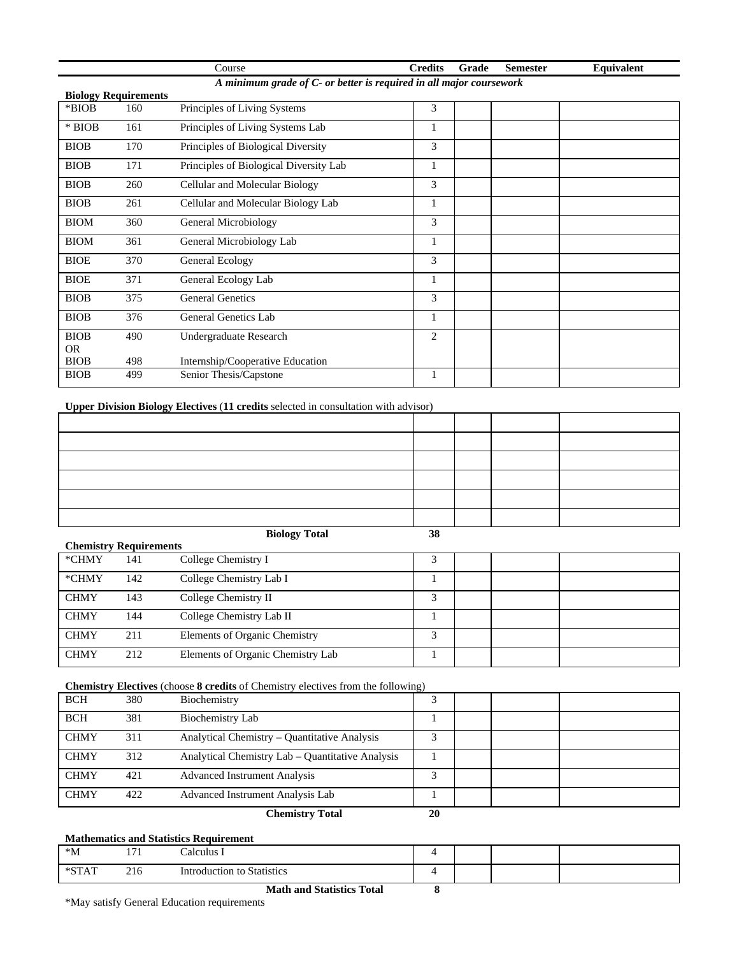|             |                             | Course                                                              | <b>Credits</b> | Grade | <b>Semester</b> | Equivalent |
|-------------|-----------------------------|---------------------------------------------------------------------|----------------|-------|-----------------|------------|
|             |                             | A minimum grade of C- or better is required in all major coursework |                |       |                 |            |
|             | <b>Biology Requirements</b> |                                                                     |                |       |                 |            |
| *BIOB       | 160                         | Principles of Living Systems                                        | 3              |       |                 |            |
| $*$ BIOB    | 161                         | Principles of Living Systems Lab                                    | 1              |       |                 |            |
| <b>BIOB</b> | 170                         | Principles of Biological Diversity                                  | 3              |       |                 |            |
| <b>BIOB</b> | 171                         | Principles of Biological Diversity Lab                              | 1              |       |                 |            |
| <b>BIOB</b> | 260                         | Cellular and Molecular Biology                                      | 3              |       |                 |            |
| <b>BIOB</b> | 261                         | Cellular and Molecular Biology Lab                                  | 1              |       |                 |            |
| <b>BIOM</b> | 360                         | General Microbiology                                                | 3              |       |                 |            |
| <b>BIOM</b> | 361                         | General Microbiology Lab                                            | 1              |       |                 |            |
| <b>BIOE</b> | 370                         | <b>General Ecology</b>                                              | 3              |       |                 |            |
| <b>BIOE</b> | 371                         | General Ecology Lab                                                 | 1              |       |                 |            |
| <b>BIOB</b> | 375                         | <b>General Genetics</b>                                             | 3              |       |                 |            |
| <b>BIOB</b> | 376                         | General Genetics Lab                                                |                |       |                 |            |
| <b>BIOB</b> | 490                         | Undergraduate Research                                              | 2              |       |                 |            |
| <b>OR</b>   |                             |                                                                     |                |       |                 |            |
| <b>BIOB</b> | 498                         | Internship/Cooperative Education                                    |                |       |                 |            |
| <b>BIOB</b> | 499                         | Senior Thesis/Capstone                                              |                |       |                 |            |

# **Upper Division Biology Electives** (**11 credits** selected in consultation with advisor)

| $\alpha$ $\beta$ $\alpha$ $\beta$ | <b>Biology Total</b> | 38 |  |  |
|-----------------------------------|----------------------|----|--|--|

|             |                               | $D10105$ , $10004$                | $\ddotsc$               |  |  |  |  |  |  |
|-------------|-------------------------------|-----------------------------------|-------------------------|--|--|--|--|--|--|
|             | <b>Chemistry Requirements</b> |                                   |                         |  |  |  |  |  |  |
| *CHMY       | 141                           | College Chemistry I               |                         |  |  |  |  |  |  |
| *CHMY       | 142                           | College Chemistry Lab I           |                         |  |  |  |  |  |  |
| <b>CHMY</b> | 143                           | College Chemistry II              | $\mathbf{\overline{3}}$ |  |  |  |  |  |  |
| <b>CHMY</b> | 144                           | College Chemistry Lab II          |                         |  |  |  |  |  |  |
| <b>CHMY</b> | 211                           | Elements of Organic Chemistry     | 2                       |  |  |  |  |  |  |
| <b>CHMY</b> | 212                           | Elements of Organic Chemistry Lab |                         |  |  |  |  |  |  |

### **Chemistry Electives** (choose **8 credits** of Chemistry electives from the following)

| <b>BCH</b>  | 380 | Biochemistry                                     |    |  |  |
|-------------|-----|--------------------------------------------------|----|--|--|
| <b>BCH</b>  | 381 | Biochemistry Lab                                 |    |  |  |
| <b>CHMY</b> | 311 | Analytical Chemistry - Quantitative Analysis     |    |  |  |
| <b>CHMY</b> | 312 | Analytical Chemistry Lab – Quantitative Analysis |    |  |  |
| <b>CHMY</b> | 421 | <b>Advanced Instrument Analysis</b>              |    |  |  |
| <b>CHMY</b> | 422 | Advanced Instrument Analysis Lab                 |    |  |  |
|             |     | <b>Chemistry Total</b>                           | 20 |  |  |

### **Mathematics and Statistics Requirement**

| $^*M$                             | $\sim$<br>the contract of the contract of | alculus                         |  |  |
|-----------------------------------|-------------------------------------------|---------------------------------|--|--|
| $\sqrt{2}$<br>$+$ $\alpha$ m<br>. | 216                                       | lntroduction to '<br>Statistics |  |  |

**Math and Statistics Total 8** 

\*May satisfy General Education requirements